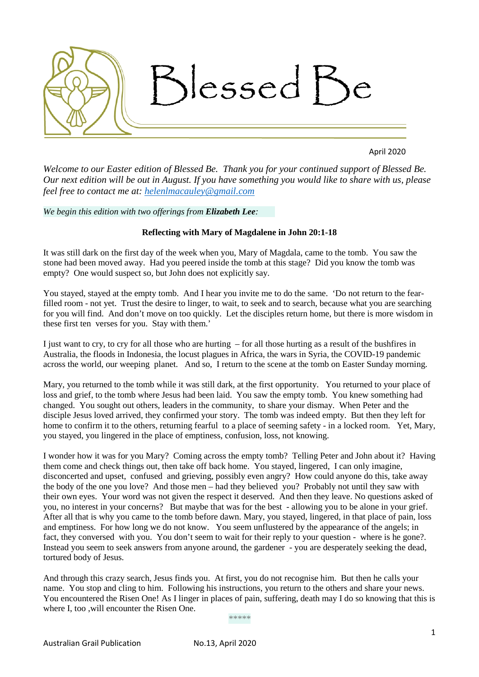

April 2020

*Welcome to our Easter edition of Blessed Be. Thank you for your continued support of Blessed Be. Our next edition will be out in August. If you have something you would like to share with us, please feel free to contact me at: [helenlmacauley@gmail.com](mailto:helenlmacauley@gmail.com)*

*We begin this edition with two offerings from Elizabeth Lee:*

## **Reflecting with Mary of Magdalene in John 20:1-18**

It was still dark on the first day of the week when you, Mary of Magdala, came to the tomb. You saw the stone had been moved away. Had you peered inside the tomb at this stage? Did you know the tomb was empty? One would suspect so, but John does not explicitly say.

You stayed, stayed at the empty tomb. And I hear you invite me to do the same. 'Do not return to the fearfilled room - not yet. Trust the desire to linger, to wait, to seek and to search, because what you are searching for you will find. And don't move on too quickly. Let the disciples return home, but there is more wisdom in these first ten verses for you. Stay with them.'

I just want to cry, to cry for all those who are hurting – for all those hurting as a result of the bushfires in Australia, the floods in Indonesia, the locust plagues in Africa, the wars in Syria, the COVID-19 pandemic across the world, our weeping planet. And so, I return to the scene at the tomb on Easter Sunday morning.

Mary, you returned to the tomb while it was still dark, at the first opportunity. You returned to your place of loss and grief, to the tomb where Jesus had been laid. You saw the empty tomb. You knew something had changed. You sought out others, leaders in the community, to share your dismay. When Peter and the disciple Jesus loved arrived, they confirmed your story. The tomb was indeed empty. But then they left for home to confirm it to the others, returning fearful to a place of seeming safety - in a locked room. Yet, Mary, you stayed, you lingered in the place of emptiness, confusion, loss, not knowing.

I wonder how it was for you Mary? Coming across the empty tomb? Telling Peter and John about it? Having them come and check things out, then take off back home. You stayed, lingered, I can only imagine, disconcerted and upset, confused and grieving, possibly even angry? How could anyone do this, take away the body of the one you love? And those men – had they believed you? Probably not until they saw with their own eyes. Your word was not given the respect it deserved. And then they leave. No questions asked of you, no interest in your concerns? But maybe that was for the best - allowing you to be alone in your grief. After all that is why you came to the tomb before dawn. Mary, you stayed, lingered, in that place of pain, loss and emptiness. For how long we do not know. You seem unflustered by the appearance of the angels; in fact, they conversed with you. You don't seem to wait for their reply to your question - where is he gone?. Instead you seem to seek answers from anyone around, the gardener - you are desperately seeking the dead, tortured body of Jesus.

And through this crazy search, Jesus finds you. At first, you do not recognise him. But then he calls your name. You stop and cling to him. Following his instructions, you return to the others and share your news. You encountered the Risen One! As I linger in places of pain, suffering, death may I do so knowing that this is where I, too ,will encounter the Risen One.

*\*\*\*\*\**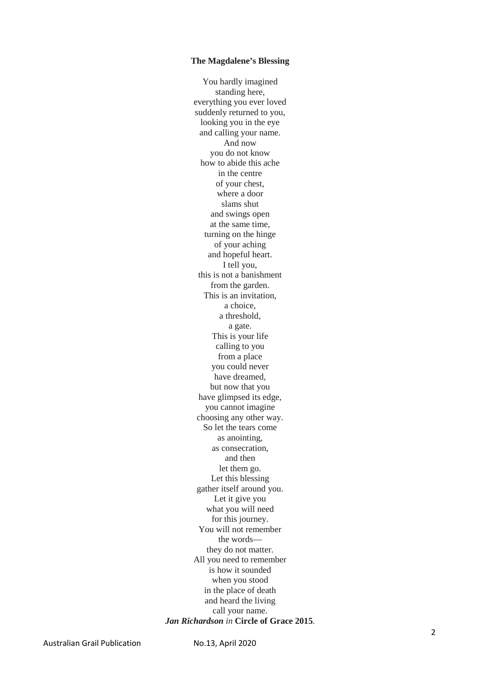#### **The Magdalene's Blessing**

You hardly imagined standing here, everything you ever loved suddenly returned to you, looking you in the eye and calling your name. And now you do not know how to abide this ache in the centre of your chest, where a door slams shut and swings open at the same time, turning on the hinge of your aching and hopeful heart. I tell you, this is not a banishment from the garden. This is an invitation, a choice, a threshold, a gate. This is your life calling to you from a place you could never have dreamed, but now that you have glimpsed its edge, you cannot imagine choosing any other way. So let the tears come as anointing, as consecration, and then let them go. Let this blessing gather itself around you. Let it give you what you will need for this journey. You will not remember the words they do not matter. All you need to remember is how it sounded when you stood in the place of death and heard the living call your name. *Jan Richardson in* **Circle of Grace 2015** *.*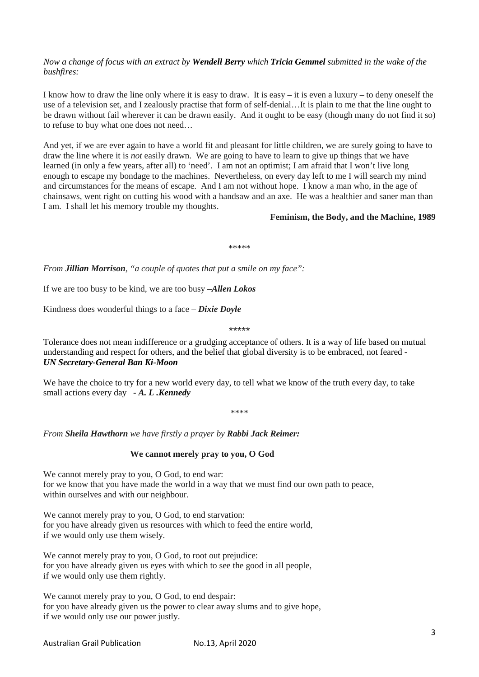# *Now a change of focus with an extract by Wendell Berry which Tricia Gemmel submitted in the wake of the bushfires:*

I know how to draw the line only where it is easy to draw. It is easy – it is even a luxury – to deny oneself the use of a television set, and I zealously practise that form of self-denial…It is plain to me that the line ought to be drawn without fail wherever it can be drawn easily. And it ought to be easy (though many do not find it so) to refuse to buy what one does not need…

And yet, if we are ever again to have a world fit and pleasant for little children, we are surely going to have to draw the line where it is *not* easily drawn. We are going to have to learn to give up things that we have learned (in only a few years, after all) to 'need'. I am not an optimist; I am afraid that I won't live long enough to escape my bondage to the machines. Nevertheless, on every day left to me I will search my mind and circumstances for the means of escape. And I am not without hope. I know a man who, in the age of chainsaws, went right on cutting his wood with a handsaw and an axe. He was a healthier and saner man than I am. I shall let his memory trouble my thoughts.

## **Feminism, the Body, and the Machine, 1989**

\*\*\*\*\*

*From Jillian Morrison, "a couple of quotes that put a smile on my face":*

If we are too busy to be kind, we are too busy –*Allen Lokos*

Kindness does wonderful things to a face – *Dixie Doyle*

\*\*\*\*\*

Tolerance does not mean indifference or a grudging acceptance of others. It is a way of life based on mutual understanding and respect for others, and the belief that global diversity is to be embraced, not feared - *UN Secretary-General Ban Ki-Moon*

We have the choice to try for a new world every day, to tell what we know of the truth every day, to take small actions every day - *A. L .Kennedy*

\*\*\*\*

*From Sheila Hawthorn we have firstly a prayer by Rabbi Jack Reimer:*

#### **We cannot merely pray to you, O God**

We cannot merely pray to you, O God, to end war: for we know that you have made the world in a way that we must find our own path to peace, within ourselves and with our neighbour.

We cannot merely pray to you, O God, to end starvation: for you have already given us resources with which to feed the entire world, if we would only use them wisely.

We cannot merely pray to you, O God, to root out prejudice: for you have already given us eyes with which to see the good in all people, if we would only use them rightly.

We cannot merely pray to you, O God, to end despair: for you have already given us the power to clear away slums and to give hope, if we would only use our power justly.